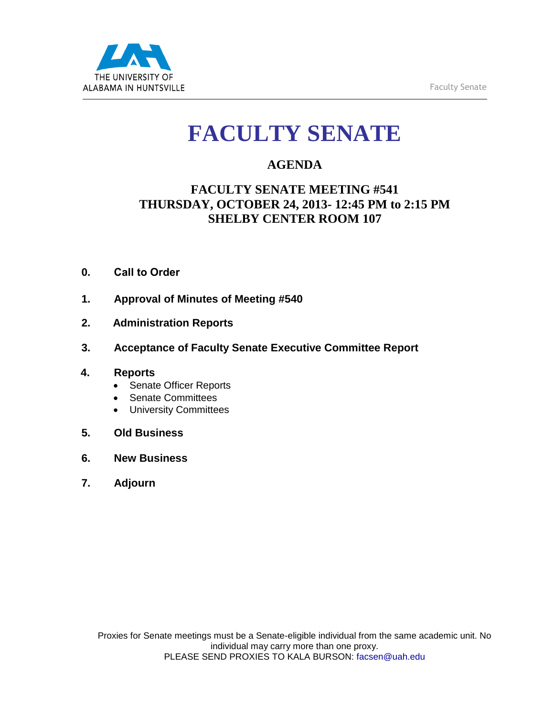

# **FACULTY SENATE**

## **AGENDA**

## **FACULTY SENATE MEETING #541 THURSDAY, OCTOBER 24, 2013- 12:45 PM to 2:15 PM SHELBY CENTER ROOM 107**

- **0. Call to Order**
- **1. Approval of Minutes of Meeting #540**
- **2. Administration Reports**
- **3. Acceptance of Faculty Senate Executive Committee Report**

### **4. Reports**

- Senate Officer Reports
- Senate Committees
- University Committees
- **5. Old Business**
- **6. New Business**
- **7. Adjourn**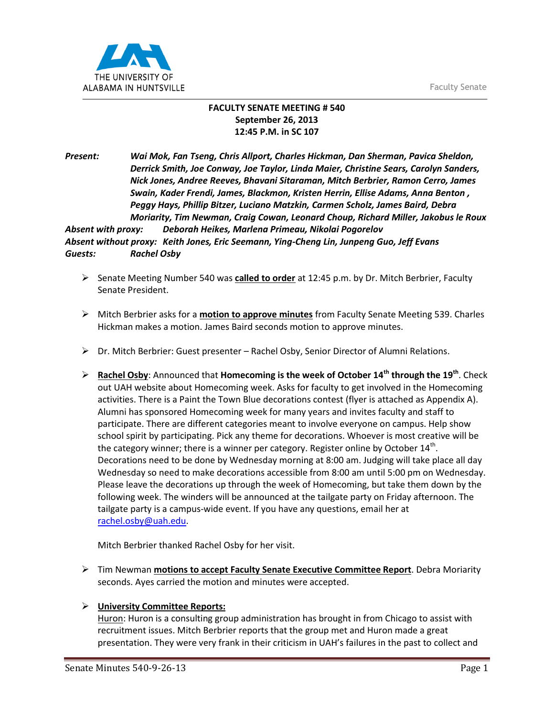Faculty Senate



#### **FACULTY SENATE MEETING # 540 September 26, 2013 12:45 P.M. in SC 107**

*Present: Wai Mok, Fan Tseng, Chris Allport, Charles Hickman, Dan Sherman, Pavica Sheldon, Derrick Smith, Joe Conway, Joe Taylor, Linda Maier, Christine Sears, Carolyn Sanders, Nick Jones, Andree Reeves, Bhavani Sitaraman, Mitch Berbrier, Ramon Cerro, James Swain, Kader Frendi, James, Blackmon, Kristen Herrin, Ellise Adams, Anna Benton , Peggy Hays, Phillip Bitzer, Luciano Matzkin, Carmen Scholz, James Baird, Debra Moriarity, Tim Newman, Craig Cowan, Leonard Choup, Richard Miller, Jakobus le Roux*

*Absent with proxy: Deborah Heikes, Marlena Primeau, Nikolai Pogorelov Absent without proxy: Keith Jones, Eric Seemann, Ying-Cheng Lin, Junpeng Guo, Jeff Evans Guests: Rachel Osby*

- Senate Meeting Number 540 was **called to order** at 12:45 p.m. by Dr. Mitch Berbrier, Faculty Senate President.
- Mitch Berbrier asks for a **motion to approve minutes** from Faculty Senate Meeting 539. Charles Hickman makes a motion. James Baird seconds motion to approve minutes.
- $\triangleright$  Dr. Mitch Berbrier: Guest presenter Rachel Osby, Senior Director of Alumni Relations.
- **Rachel Osby**: Announced that **Homecoming is the week of October 14th through the 19th**. Check out UAH website about Homecoming week. Asks for faculty to get involved in the Homecoming activities. There is a Paint the Town Blue decorations contest (flyer is attached as Appendix A). Alumni has sponsored Homecoming week for many years and invites faculty and staff to participate. There are different categories meant to involve everyone on campus. Help show school spirit by participating. Pick any theme for decorations. Whoever is most creative will be the category winner; there is a winner per category. Register online by October  $14^{\text{th}}$ . Decorations need to be done by Wednesday morning at 8:00 am. Judging will take place all day Wednesday so need to make decorations accessible from 8:00 am until 5:00 pm on Wednesday. Please leave the decorations up through the week of Homecoming, but take them down by the following week. The winders will be announced at the tailgate party on Friday afternoon. The tailgate party is a campus-wide event. If you have any questions, email her at [rachel.osby@uah.edu.](mailto:rachel.osby@uah.edu)

Mitch Berbrier thanked Rachel Osby for her visit.

 Tim Newman **motions to accept Faculty Senate Executive Committee Report**. Debra Moriarity seconds. Ayes carried the motion and minutes were accepted.

#### **University Committee Reports:**

Huron: Huron is a consulting group administration has brought in from Chicago to assist with recruitment issues. Mitch Berbrier reports that the group met and Huron made a great presentation. They were very frank in their criticism in UAH's failures in the past to collect and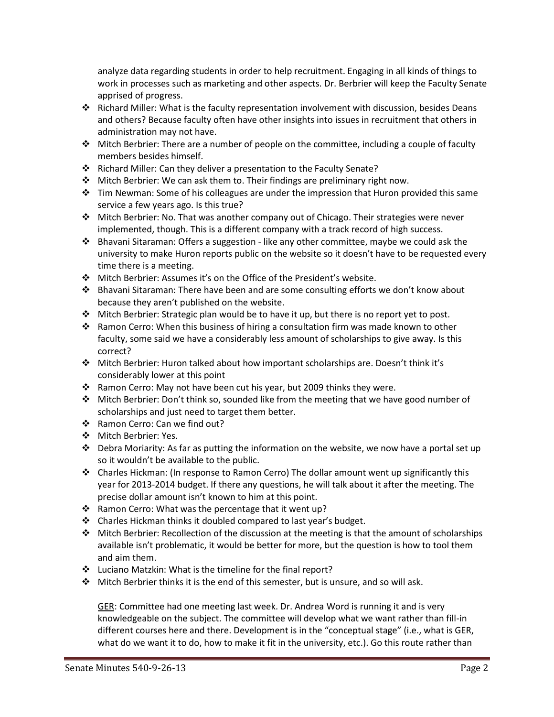analyze data regarding students in order to help recruitment. Engaging in all kinds of things to work in processes such as marketing and other aspects. Dr. Berbrier will keep the Faculty Senate apprised of progress.

- Richard Miller: What is the faculty representation involvement with discussion, besides Deans and others? Because faculty often have other insights into issues in recruitment that others in administration may not have.
- Mitch Berbrier: There are a number of people on the committee, including a couple of faculty members besides himself.
- \* Richard Miller: Can they deliver a presentation to the Faculty Senate?
- Mitch Berbrier: We can ask them to. Their findings are preliminary right now.
- Tim Newman: Some of his colleagues are under the impression that Huron provided this same service a few years ago. Is this true?
- $\clubsuit$  Mitch Berbrier: No. That was another company out of Chicago. Their strategies were never implemented, though. This is a different company with a track record of high success.
- Bhavani Sitaraman: Offers a suggestion like any other committee, maybe we could ask the university to make Huron reports public on the website so it doesn't have to be requested every time there is a meeting.
- Mitch Berbrier: Assumes it's on the Office of the President's website.
- $\cdot \cdot$  Bhavani Sitaraman: There have been and are some consulting efforts we don't know about because they aren't published on the website.
- Mitch Berbrier: Strategic plan would be to have it up, but there is no report yet to post.
- Ramon Cerro: When this business of hiring a consultation firm was made known to other faculty, some said we have a considerably less amount of scholarships to give away. Is this correct?
- Mitch Berbrier: Huron talked about how important scholarships are. Doesn't think it's considerably lower at this point
- Ramon Cerro: May not have been cut his year, but 2009 thinks they were.
- Mitch Berbrier: Don't think so, sounded like from the meeting that we have good number of scholarships and just need to target them better.
- Ramon Cerro: Can we find out?
- ❖ Mitch Berbrier: Yes.
- Debra Moriarity: As far as putting the information on the website, we now have a portal set up so it wouldn't be available to the public.
- Charles Hickman: (In response to Ramon Cerro) The dollar amount went up significantly this year for 2013-2014 budget. If there any questions, he will talk about it after the meeting. The precise dollar amount isn't known to him at this point.
- \* Ramon Cerro: What was the percentage that it went up?
- Charles Hickman thinks it doubled compared to last year's budget.
- $\triangle$  Mitch Berbrier: Recollection of the discussion at the meeting is that the amount of scholarships available isn't problematic, it would be better for more, but the question is how to tool them and aim them.
- Luciano Matzkin: What is the timeline for the final report?
- Mitch Berbrier thinks it is the end of this semester, but is unsure, and so will ask.

GER: Committee had one meeting last week. Dr. Andrea Word is running it and is very knowledgeable on the subject. The committee will develop what we want rather than fill-in different courses here and there. Development is in the "conceptual stage" (i.e., what is GER, what do we want it to do, how to make it fit in the university, etc.). Go this route rather than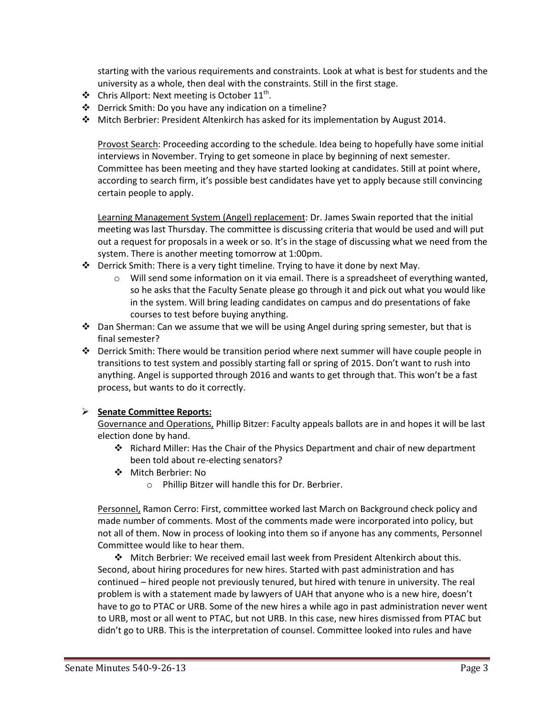starting with the various requirements and constraints. Look at what is best for students and the university as a whole, then deal with the constraints. Still in the first stage.

- $\triangleleft$  Chris Allport: Next meeting is October 11<sup>th</sup>.
- Derrick Smith: Do you have any indication on a timeline?
- Mitch Berbrier: President Altenkirch has asked for its implementation by August 2014.

Provost Search: Proceeding according to the schedule. Idea being to hopefully have some initial interviews in November. Trying to get someone in place by beginning of next semester. Committee has been meeting and they have started looking at candidates. Still at point where, according to search firm, it's possible best candidates have yet to apply because still convincing certain people to apply.

Learning Management System (Angel) replacement: Dr. James Swain reported that the initial meeting was last Thursday. The committee is discussing criteria that would be used and will put out a request for proposals in a week or so. It's in the stage of discussing what we need from the system. There is another meeting tomorrow at 1:00pm.

- $\cdot \cdot$  Derrick Smith: There is a very tight timeline. Trying to have it done by next May.
	- $\circ$  Will send some information on it via email. There is a spreadsheet of everything wanted, so he asks that the Faculty Senate please go through it and pick out what you would like in the system. Will bring leading candidates on campus and do presentations of fake courses to test before buying anything.
- $\clubsuit$  Dan Sherman: Can we assume that we will be using Angel during spring semester, but that is final semester?
- Derrick Smith: There would be transition period where next summer will have couple people in transitions to test system and possibly starting fall or spring of 2015. Don't want to rush into anything. Angel is supported through 2016 and wants to get through that. This won't be a fast process, but wants to do it correctly.

#### **Senate Committee Reports:**

Governance and Operations, Phillip Bitzer: Faculty appeals ballots are in and hopes it will be last election done by hand.

- Richard Miller: Has the Chair of the Physics Department and chair of new department been told about re-electing senators?
- Mitch Berbrier: No
	- o Phillip Bitzer will handle this for Dr. Berbrier.

Personnel, Ramon Cerro: First, committee worked last March on Background check policy and made number of comments. Most of the comments made were incorporated into policy, but not all of them. Now in process of looking into them so if anyone has any comments, Personnel Committee would like to hear them.

 Mitch Berbrier: We received email last week from President Altenkirch about this. Second, about hiring procedures for new hires. Started with past administration and has continued – hired people not previously tenured, but hired with tenure in university. The real problem is with a statement made by lawyers of UAH that anyone who is a new hire, doesn't have to go to PTAC or URB. Some of the new hires a while ago in past administration never went to URB, most or all went to PTAC, but not URB. In this case, new hires dismissed from PTAC but didn't go to URB. This is the interpretation of counsel. Committee looked into rules and have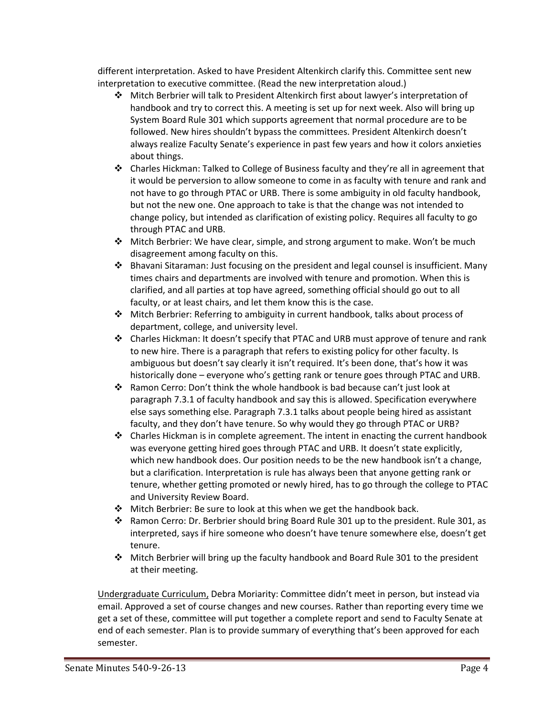different interpretation. Asked to have President Altenkirch clarify this. Committee sent new interpretation to executive committee. (Read the new interpretation aloud.)

- Mitch Berbrier will talk to President Altenkirch first about lawyer's interpretation of handbook and try to correct this. A meeting is set up for next week. Also will bring up System Board Rule 301 which supports agreement that normal procedure are to be followed. New hires shouldn't bypass the committees. President Altenkirch doesn't always realize Faculty Senate's experience in past few years and how it colors anxieties about things.
- Charles Hickman: Talked to College of Business faculty and they're all in agreement that it would be perversion to allow someone to come in as faculty with tenure and rank and not have to go through PTAC or URB. There is some ambiguity in old faculty handbook, but not the new one. One approach to take is that the change was not intended to change policy, but intended as clarification of existing policy. Requires all faculty to go through PTAC and URB.
- Mitch Berbrier: We have clear, simple, and strong argument to make. Won't be much disagreement among faculty on this.
- Bhavani Sitaraman: Just focusing on the president and legal counsel is insufficient. Many times chairs and departments are involved with tenure and promotion. When this is clarified, and all parties at top have agreed, something official should go out to all faculty, or at least chairs, and let them know this is the case.
- Mitch Berbrier: Referring to ambiguity in current handbook, talks about process of department, college, and university level.
- Charles Hickman: It doesn't specify that PTAC and URB must approve of tenure and rank to new hire. There is a paragraph that refers to existing policy for other faculty. Is ambiguous but doesn't say clearly it isn't required. It's been done, that's how it was historically done – everyone who's getting rank or tenure goes through PTAC and URB.
- Ramon Cerro: Don't think the whole handbook is bad because can't just look at paragraph 7.3.1 of faculty handbook and say this is allowed. Specification everywhere else says something else. Paragraph 7.3.1 talks about people being hired as assistant faculty, and they don't have tenure. So why would they go through PTAC or URB?
- $\triangle$  Charles Hickman is in complete agreement. The intent in enacting the current handbook was everyone getting hired goes through PTAC and URB. It doesn't state explicitly, which new handbook does. Our position needs to be the new handbook isn't a change, but a clarification. Interpretation is rule has always been that anyone getting rank or tenure, whether getting promoted or newly hired, has to go through the college to PTAC and University Review Board.
- $\clubsuit$  Mitch Berbrier: Be sure to look at this when we get the handbook back.
- **Ramon Cerro: Dr. Berbrier should bring Board Rule 301 up to the president. Rule 301, as** interpreted, says if hire someone who doesn't have tenure somewhere else, doesn't get tenure.
- Mitch Berbrier will bring up the faculty handbook and Board Rule 301 to the president at their meeting.

Undergraduate Curriculum, Debra Moriarity: Committee didn't meet in person, but instead via email. Approved a set of course changes and new courses. Rather than reporting every time we get a set of these, committee will put together a complete report and send to Faculty Senate at end of each semester. Plan is to provide summary of everything that's been approved for each semester.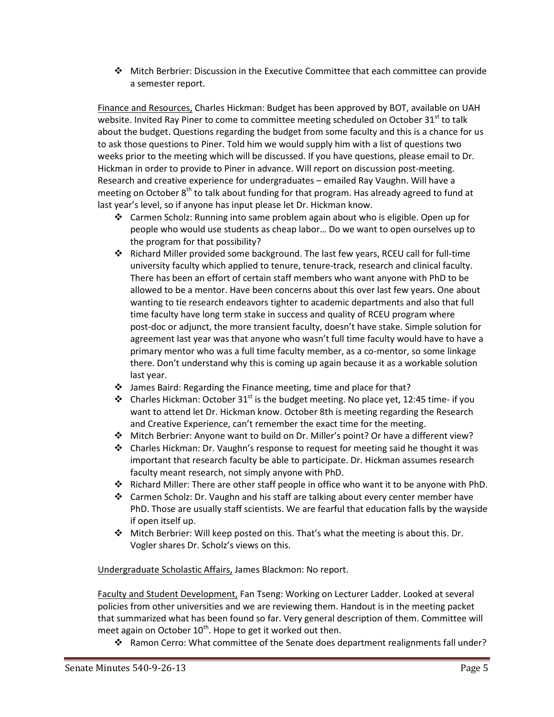Mitch Berbrier: Discussion in the Executive Committee that each committee can provide a semester report.

Finance and Resources, Charles Hickman: Budget has been approved by BOT, available on UAH website. Invited Ray Piner to come to committee meeting scheduled on October 31<sup>st</sup> to talk about the budget. Questions regarding the budget from some faculty and this is a chance for us to ask those questions to Piner. Told him we would supply him with a list of questions two weeks prior to the meeting which will be discussed. If you have questions, please email to Dr. Hickman in order to provide to Piner in advance. Will report on discussion post-meeting. Research and creative experience for undergraduates – emailed Ray Vaughn. Will have a meeting on October  $8<sup>th</sup>$  to talk about funding for that program. Has already agreed to fund at last year's level, so if anyone has input please let Dr. Hickman know.

- Carmen Scholz: Running into same problem again about who is eligible. Open up for people who would use students as cheap labor… Do we want to open ourselves up to the program for that possibility?
- Richard Miller provided some background. The last few years, RCEU call for full-time university faculty which applied to tenure, tenure-track, research and clinical faculty. There has been an effort of certain staff members who want anyone with PhD to be allowed to be a mentor. Have been concerns about this over last few years. One about wanting to tie research endeavors tighter to academic departments and also that full time faculty have long term stake in success and quality of RCEU program where post-doc or adjunct, the more transient faculty, doesn't have stake. Simple solution for agreement last year was that anyone who wasn't full time faculty would have to have a primary mentor who was a full time faculty member, as a co-mentor, so some linkage there. Don't understand why this is coming up again because it as a workable solution last year.
- James Baird: Regarding the Finance meeting, time and place for that?
- Charles Hickman: October 31<sup>st</sup> is the budget meeting. No place yet, 12:45 time- if you want to attend let Dr. Hickman know. October 8th is meeting regarding the Research and Creative Experience, can't remember the exact time for the meeting.
- Mitch Berbrier: Anyone want to build on Dr. Miller's point? Or have a different view?
- Charles Hickman: Dr. Vaughn's response to request for meeting said he thought it was important that research faculty be able to participate. Dr. Hickman assumes research faculty meant research, not simply anyone with PhD.
- $\div$  Richard Miller: There are other staff people in office who want it to be anyone with PhD.
- Carmen Scholz: Dr. Vaughn and his staff are talking about every center member have PhD. Those are usually staff scientists. We are fearful that education falls by the wayside if open itself up.
- Mitch Berbrier: Will keep posted on this. That's what the meeting is about this. Dr. Vogler shares Dr. Scholz's views on this.

Undergraduate Scholastic Affairs, James Blackmon: No report.

Faculty and Student Development, Fan Tseng: Working on Lecturer Ladder. Looked at several policies from other universities and we are reviewing them. Handout is in the meeting packet that summarized what has been found so far. Very general description of them. Committee will meet again on October  $10^{th}$ . Hope to get it worked out then.

\* Ramon Cerro: What committee of the Senate does department realignments fall under?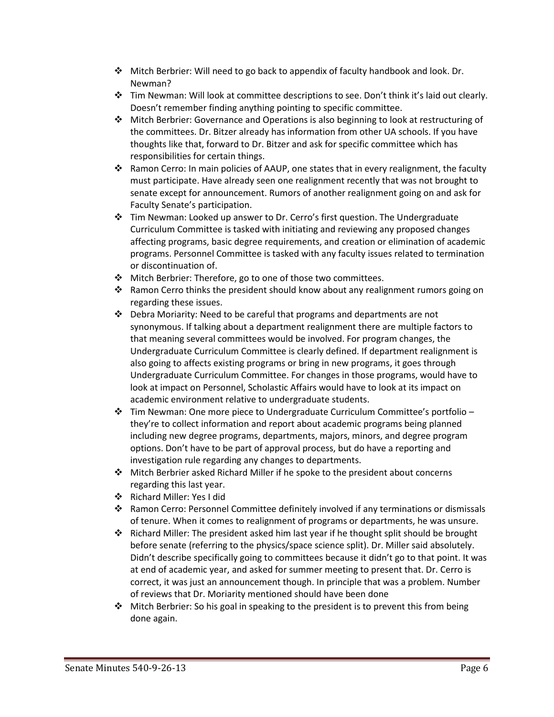- Mitch Berbrier: Will need to go back to appendix of faculty handbook and look. Dr. Newman?
- Tim Newman: Will look at committee descriptions to see. Don't think it's laid out clearly. Doesn't remember finding anything pointing to specific committee.
- Mitch Berbrier: Governance and Operations is also beginning to look at restructuring of the committees. Dr. Bitzer already has information from other UA schools. If you have thoughts like that, forward to Dr. Bitzer and ask for specific committee which has responsibilities for certain things.
- Ramon Cerro: In main policies of AAUP, one states that in every realignment, the faculty must participate. Have already seen one realignment recently that was not brought to senate except for announcement. Rumors of another realignment going on and ask for Faculty Senate's participation.
- Tim Newman: Looked up answer to Dr. Cerro's first question. The Undergraduate Curriculum Committee is tasked with initiating and reviewing any proposed changes affecting programs, basic degree requirements, and creation or elimination of academic programs. Personnel Committee is tasked with any faculty issues related to termination or discontinuation of.
- ◆ Mitch Berbrier: Therefore, go to one of those two committees.
- Ramon Cerro thinks the president should know about any realignment rumors going on regarding these issues.
- $\div$  Debra Moriarity: Need to be careful that programs and departments are not synonymous. If talking about a department realignment there are multiple factors to that meaning several committees would be involved. For program changes, the Undergraduate Curriculum Committee is clearly defined. If department realignment is also going to affects existing programs or bring in new programs, it goes through Undergraduate Curriculum Committee. For changes in those programs, would have to look at impact on Personnel, Scholastic Affairs would have to look at its impact on academic environment relative to undergraduate students.
- $\cdot \cdot$  Tim Newman: One more piece to Undergraduate Curriculum Committee's portfolio they're to collect information and report about academic programs being planned including new degree programs, departments, majors, minors, and degree program options. Don't have to be part of approval process, but do have a reporting and investigation rule regarding any changes to departments.
- Mitch Berbrier asked Richard Miller if he spoke to the president about concerns regarding this last year.
- Richard Miller: Yes I did
- Ramon Cerro: Personnel Committee definitely involved if any terminations or dismissals of tenure. When it comes to realignment of programs or departments, he was unsure.
- $\triangle$  Richard Miller: The president asked him last year if he thought split should be brought before senate (referring to the physics/space science split). Dr. Miller said absolutely. Didn't describe specifically going to committees because it didn't go to that point. It was at end of academic year, and asked for summer meeting to present that. Dr. Cerro is correct, it was just an announcement though. In principle that was a problem. Number of reviews that Dr. Moriarity mentioned should have been done
- $\triangle$  Mitch Berbrier: So his goal in speaking to the president is to prevent this from being done again.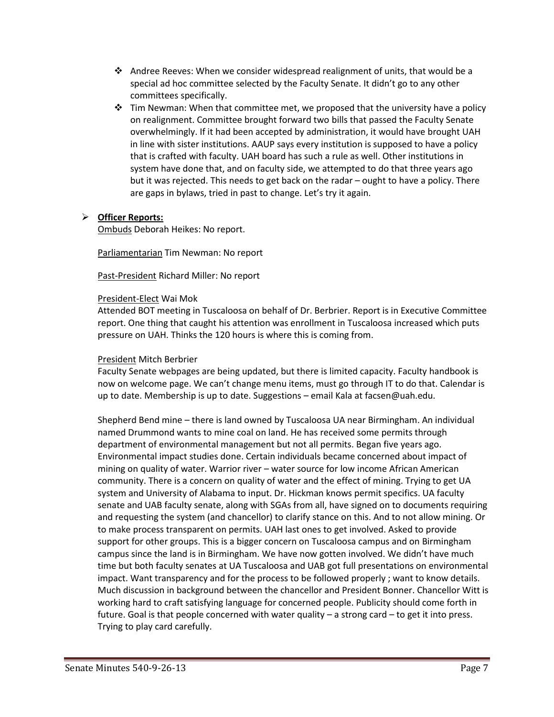- Andree Reeves: When we consider widespread realignment of units, that would be a special ad hoc committee selected by the Faculty Senate. It didn't go to any other committees specifically.
- $\div$  Tim Newman: When that committee met, we proposed that the university have a policy on realignment. Committee brought forward two bills that passed the Faculty Senate overwhelmingly. If it had been accepted by administration, it would have brought UAH in line with sister institutions. AAUP says every institution is supposed to have a policy that is crafted with faculty. UAH board has such a rule as well. Other institutions in system have done that, and on faculty side, we attempted to do that three years ago but it was rejected. This needs to get back on the radar – ought to have a policy. There are gaps in bylaws, tried in past to change. Let's try it again.

#### **Officer Reports:**

Ombuds Deborah Heikes: No report.

Parliamentarian Tim Newman: No report

Past-President Richard Miller: No report

#### President-Elect Wai Mok

Attended BOT meeting in Tuscaloosa on behalf of Dr. Berbrier. Report is in Executive Committee report. One thing that caught his attention was enrollment in Tuscaloosa increased which puts pressure on UAH. Thinks the 120 hours is where this is coming from.

#### President Mitch Berbrier

Faculty Senate webpages are being updated, but there is limited capacity. Faculty handbook is now on welcome page. We can't change menu items, must go through IT to do that. Calendar is up to date. Membership is up to date. Suggestions – email Kala at facsen@uah.edu.

Shepherd Bend mine – there is land owned by Tuscaloosa UA near Birmingham. An individual named Drummond wants to mine coal on land. He has received some permits through department of environmental management but not all permits. Began five years ago. Environmental impact studies done. Certain individuals became concerned about impact of mining on quality of water. Warrior river – water source for low income African American community. There is a concern on quality of water and the effect of mining. Trying to get UA system and University of Alabama to input. Dr. Hickman knows permit specifics. UA faculty senate and UAB faculty senate, along with SGAs from all, have signed on to documents requiring and requesting the system (and chancellor) to clarify stance on this. And to not allow mining. Or to make process transparent on permits. UAH last ones to get involved. Asked to provide support for other groups. This is a bigger concern on Tuscaloosa campus and on Birmingham campus since the land is in Birmingham. We have now gotten involved. We didn't have much time but both faculty senates at UA Tuscaloosa and UAB got full presentations on environmental impact. Want transparency and for the process to be followed properly ; want to know details. Much discussion in background between the chancellor and President Bonner. Chancellor Witt is working hard to craft satisfying language for concerned people. Publicity should come forth in future. Goal is that people concerned with water quality – a strong card – to get it into press. Trying to play card carefully.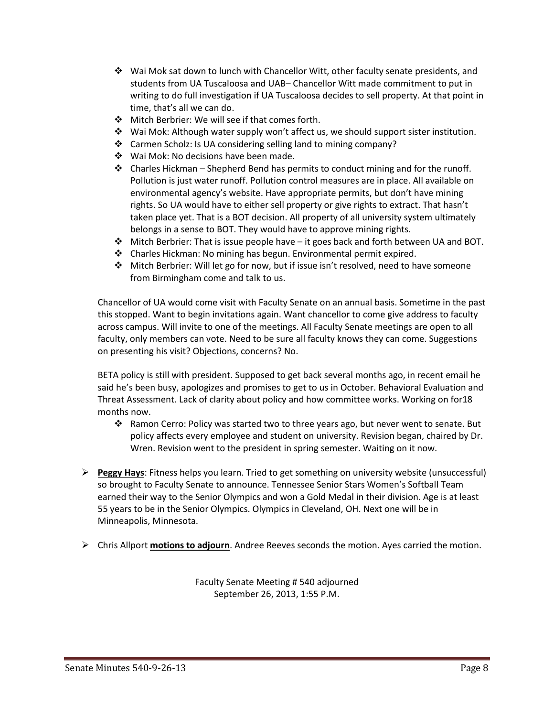- Wai Mok sat down to lunch with Chancellor Witt, other faculty senate presidents, and students from UA Tuscaloosa and UAB– Chancellor Witt made commitment to put in writing to do full investigation if UA Tuscaloosa decides to sell property. At that point in time, that's all we can do.
- Mitch Berbrier: We will see if that comes forth.
- $\cdot \cdot$  Wai Mok: Although water supply won't affect us, we should support sister institution.
- Carmen Scholz: Is UA considering selling land to mining company?
- ❖ Wai Mok: No decisions have been made.
- $\triangle$  Charles Hickman Shepherd Bend has permits to conduct mining and for the runoff. Pollution is just water runoff. Pollution control measures are in place. All available on environmental agency's website. Have appropriate permits, but don't have mining rights. So UA would have to either sell property or give rights to extract. That hasn't taken place yet. That is a BOT decision. All property of all university system ultimately belongs in a sense to BOT. They would have to approve mining rights.
- $\div$  Mitch Berbrier: That is issue people have it goes back and forth between UA and BOT.
- Charles Hickman: No mining has begun. Environmental permit expired.
- Mitch Berbrier: Will let go for now, but if issue isn't resolved, need to have someone from Birmingham come and talk to us.

Chancellor of UA would come visit with Faculty Senate on an annual basis. Sometime in the past this stopped. Want to begin invitations again. Want chancellor to come give address to faculty across campus. Will invite to one of the meetings. All Faculty Senate meetings are open to all faculty, only members can vote. Need to be sure all faculty knows they can come. Suggestions on presenting his visit? Objections, concerns? No.

BETA policy is still with president. Supposed to get back several months ago, in recent email he said he's been busy, apologizes and promises to get to us in October. Behavioral Evaluation and Threat Assessment. Lack of clarity about policy and how committee works. Working on for18 months now.

- Ramon Cerro: Policy was started two to three years ago, but never went to senate. But policy affects every employee and student on university. Revision began, chaired by Dr. Wren. Revision went to the president in spring semester. Waiting on it now.
- **Peggy Hays**: Fitness helps you learn. Tried to get something on university website (unsuccessful) so brought to Faculty Senate to announce. Tennessee Senior Stars Women's Softball Team earned their way to the Senior Olympics and won a Gold Medal in their division. Age is at least 55 years to be in the Senior Olympics. Olympics in Cleveland, OH. Next one will be in Minneapolis, Minnesota.
- Chris Allport **motions to adjourn**. Andree Reeves seconds the motion. Ayes carried the motion.

Faculty Senate Meeting # 540 adjourned September 26, 2013, 1:55 P.M.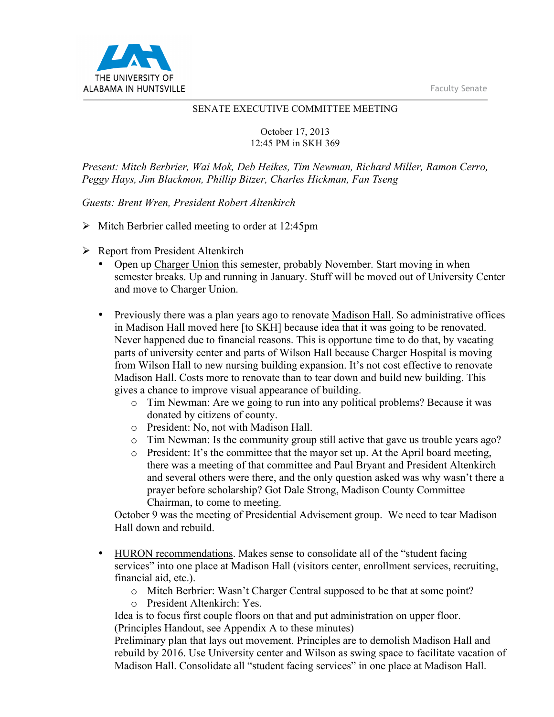Faculty Senate



#### SENATE EXECUTIVE COMMITTEE MEETING

October 17, 2013 12:45 PM in SKH 369

*Present: Mitch Berbrier, Wai Mok, Deb Heikes, Tim Newman, Richard Miller, Ramon Cerro, Peggy Hays, Jim Blackmon, Phillip Bitzer, Charles Hickman, Fan Tseng*

*Guests: Brent Wren, President Robert Altenkirch*

- $\triangleright$  Mitch Berbrier called meeting to order at 12:45pm
- $\triangleright$  Report from President Altenkirch
	- Open up Charger Union this semester, probably November. Start moving in when semester breaks. Up and running in January. Stuff will be moved out of University Center and move to Charger Union.
	- Previously there was a plan years ago to renovate Madison Hall. So administrative offices in Madison Hall moved here [to SKH] because idea that it was going to be renovated. Never happened due to financial reasons. This is opportune time to do that, by vacating parts of university center and parts of Wilson Hall because Charger Hospital is moving from Wilson Hall to new nursing building expansion. It's not cost effective to renovate Madison Hall. Costs more to renovate than to tear down and build new building. This gives a chance to improve visual appearance of building.
		- o Tim Newman: Are we going to run into any political problems? Because it was donated by citizens of county.
		- o President: No, not with Madison Hall.
		- o Tim Newman: Is the community group still active that gave us trouble years ago?
		- o President: It's the committee that the mayor set up. At the April board meeting, there was a meeting of that committee and Paul Bryant and President Altenkirch and several others were there, and the only question asked was why wasn't there a prayer before scholarship? Got Dale Strong, Madison County Committee Chairman, to come to meeting.

October 9 was the meeting of Presidential Advisement group. We need to tear Madison Hall down and rebuild.

- HURON recommendations. Makes sense to consolidate all of the "student facing services" into one place at Madison Hall (visitors center, enrollment services, recruiting, financial aid, etc.).
	- o Mitch Berbrier: Wasn't Charger Central supposed to be that at some point?
	- o President Altenkirch: Yes.

Idea is to focus first couple floors on that and put administration on upper floor. (Principles Handout, see Appendix A to these minutes)

Preliminary plan that lays out movement. Principles are to demolish Madison Hall and rebuild by 2016. Use University center and Wilson as swing space to facilitate vacation of Madison Hall. Consolidate all "student facing services" in one place at Madison Hall.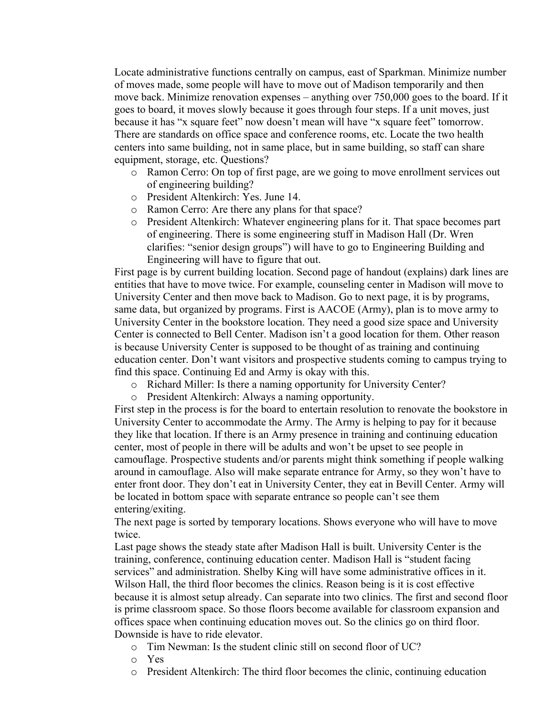Locate administrative functions centrally on campus, east of Sparkman. Minimize number of moves made, some people will have to move out of Madison temporarily and then move back. Minimize renovation expenses – anything over 750,000 goes to the board. If it goes to board, it moves slowly because it goes through four steps. If a unit moves, just because it has "x square feet" now doesn't mean will have "x square feet" tomorrow. There are standards on office space and conference rooms, etc. Locate the two health centers into same building, not in same place, but in same building, so staff can share equipment, storage, etc. Questions?

- o Ramon Cerro: On top of first page, are we going to move enrollment services out of engineering building?
- o President Altenkirch: Yes. June 14.
- o Ramon Cerro: Are there any plans for that space?
- o President Altenkirch: Whatever engineering plans for it. That space becomes part of engineering. There is some engineering stuff in Madison Hall (Dr. Wren clarifies: "senior design groups") will have to go to Engineering Building and Engineering will have to figure that out.

First page is by current building location. Second page of handout (explains) dark lines are entities that have to move twice. For example, counseling center in Madison will move to University Center and then move back to Madison. Go to next page, it is by programs, same data, but organized by programs. First is AACOE (Army), plan is to move army to University Center in the bookstore location. They need a good size space and University Center is connected to Bell Center. Madison isn't a good location for them. Other reason is because University Center is supposed to be thought of as training and continuing education center. Don't want visitors and prospective students coming to campus trying to find this space. Continuing Ed and Army is okay with this.

o Richard Miller: Is there a naming opportunity for University Center?

o President Altenkirch: Always a naming opportunity.

First step in the process is for the board to entertain resolution to renovate the bookstore in University Center to accommodate the Army. The Army is helping to pay for it because they like that location. If there is an Army presence in training and continuing education center, most of people in there will be adults and won't be upset to see people in camouflage. Prospective students and/or parents might think something if people walking around in camouflage. Also will make separate entrance for Army, so they won't have to enter front door. They don't eat in University Center, they eat in Bevill Center. Army will be located in bottom space with separate entrance so people can't see them entering/exiting.

The next page is sorted by temporary locations. Shows everyone who will have to move twice.

Last page shows the steady state after Madison Hall is built. University Center is the training, conference, continuing education center. Madison Hall is "student facing services" and administration. Shelby King will have some administrative offices in it. Wilson Hall, the third floor becomes the clinics. Reason being is it is cost effective because it is almost setup already. Can separate into two clinics. The first and second floor is prime classroom space. So those floors become available for classroom expansion and offices space when continuing education moves out. So the clinics go on third floor. Downside is have to ride elevator.

- o Tim Newman: Is the student clinic still on second floor of UC?
- o Yes
- o President Altenkirch: The third floor becomes the clinic, continuing education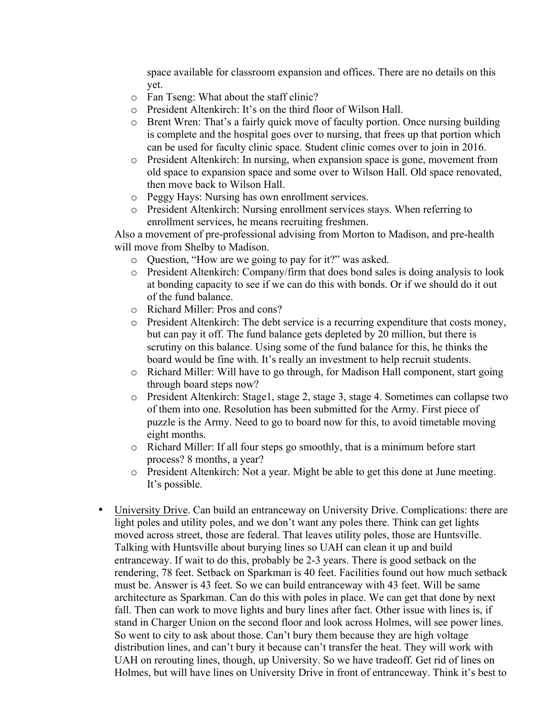space available for classroom expansion and offices. There are no details on this yet.

- o Fan Tseng: What about the staff clinic?
- o President Altenkirch: It's on the third floor of Wilson Hall.
- o Brent Wren: That's a fairly quick move of faculty portion. Once nursing building is complete and the hospital goes over to nursing, that frees up that portion which can be used for faculty clinic space. Student clinic comes over to join in 2016.
- o President Altenkirch: In nursing, when expansion space is gone, movement from old space to expansion space and some over to Wilson Hall. Old space renovated, then move back to Wilson Hall.
- o Peggy Hays: Nursing has own enrollment services.
- o President Altenkirch: Nursing enrollment services stays. When referring to enrollment services, he means recruiting freshmen.

Also a movement of pre-professional advising from Morton to Madison, and pre-health will move from Shelby to Madison.

- o Question, "How are we going to pay for it?" was asked.
- o President Altenkirch: Company/firm that does bond sales is doing analysis to look at bonding capacity to see if we can do this with bonds. Or if we should do it out of the fund balance.
- o Richard Miller: Pros and cons?
- o President Altenkirch: The debt service is a recurring expenditure that costs money, but can pay it off. The fund balance gets depleted by 20 million, but there is scrutiny on this balance. Using some of the fund balance for this, he thinks the board would be fine with. It's really an investment to help recruit students.
- o Richard Miller: Will have to go through, for Madison Hall component, start going through board steps now?
- o President Altenkirch: Stage1, stage 2, stage 3, stage 4. Sometimes can collapse two of them into one. Resolution has been submitted for the Army. First piece of puzzle is the Army. Need to go to board now for this, to avoid timetable moving eight months.
- o Richard Miller: If all four steps go smoothly, that is a minimum before start process? 8 months, a year?
- o President Altenkirch: Not a year. Might be able to get this done at June meeting. It's possible.
- University Drive. Can build an entranceway on University Drive. Complications: there are light poles and utility poles, and we don't want any poles there. Think can get lights moved across street, those are federal. That leaves utility poles, those are Huntsville. Talking with Huntsville about burying lines so UAH can clean it up and build entranceway. If wait to do this, probably be 2-3 years. There is good setback on the rendering, 78 feet. Setback on Sparkman is 40 feet. Facilities found out how much setback must be. Answer is 43 feet. So we can build entranceway with 43 feet. Will be same architecture as Sparkman. Can do this with poles in place. We can get that done by next fall. Then can work to move lights and bury lines after fact. Other issue with lines is, if stand in Charger Union on the second floor and look across Holmes, will see power lines. So went to city to ask about those. Can't bury them because they are high voltage distribution lines, and can't bury it because can't transfer the heat. They will work with UAH on rerouting lines, though, up University. So we have tradeoff. Get rid of lines on Holmes, but will have lines on University Drive in front of entranceway. Think it's best to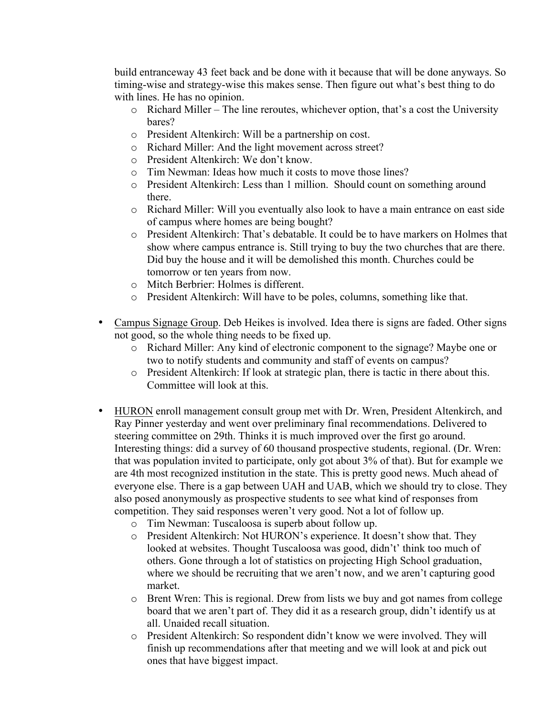build entranceway 43 feet back and be done with it because that will be done anyways. So timing-wise and strategy-wise this makes sense. Then figure out what's best thing to do with lines. He has no opinion.

- o Richard Miller The line reroutes, whichever option, that's a cost the University bares?
- o President Altenkirch: Will be a partnership on cost.
- o Richard Miller: And the light movement across street?
- o President Altenkirch: We don't know.
- o Tim Newman: Ideas how much it costs to move those lines?
- o President Altenkirch: Less than 1 million. Should count on something around there.
- o Richard Miller: Will you eventually also look to have a main entrance on east side of campus where homes are being bought?
- o President Altenkirch: That's debatable. It could be to have markers on Holmes that show where campus entrance is. Still trying to buy the two churches that are there. Did buy the house and it will be demolished this month. Churches could be tomorrow or ten years from now.
- o Mitch Berbrier: Holmes is different.
- o President Altenkirch: Will have to be poles, columns, something like that.
- Campus Signage Group. Deb Heikes is involved. Idea there is signs are faded. Other signs not good, so the whole thing needs to be fixed up.
	- o Richard Miller: Any kind of electronic component to the signage? Maybe one or two to notify students and community and staff of events on campus?
	- o President Altenkirch: If look at strategic plan, there is tactic in there about this. Committee will look at this.
- HURON enroll management consult group met with Dr. Wren, President Altenkirch, and Ray Pinner yesterday and went over preliminary final recommendations. Delivered to steering committee on 29th. Thinks it is much improved over the first go around. Interesting things: did a survey of 60 thousand prospective students, regional. (Dr. Wren: that was population invited to participate, only got about 3% of that). But for example we are 4th most recognized institution in the state. This is pretty good news. Much ahead of everyone else. There is a gap between UAH and UAB, which we should try to close. They also posed anonymously as prospective students to see what kind of responses from competition. They said responses weren't very good. Not a lot of follow up.
	- o Tim Newman: Tuscaloosa is superb about follow up.
	- o President Altenkirch: Not HURON's experience. It doesn't show that. They looked at websites. Thought Tuscaloosa was good, didn't' think too much of others. Gone through a lot of statistics on projecting High School graduation, where we should be recruiting that we aren't now, and we aren't capturing good market.
	- o Brent Wren: This is regional. Drew from lists we buy and got names from college board that we aren't part of. They did it as a research group, didn't identify us at all. Unaided recall situation.
	- o President Altenkirch: So respondent didn't know we were involved. They will finish up recommendations after that meeting and we will look at and pick out ones that have biggest impact.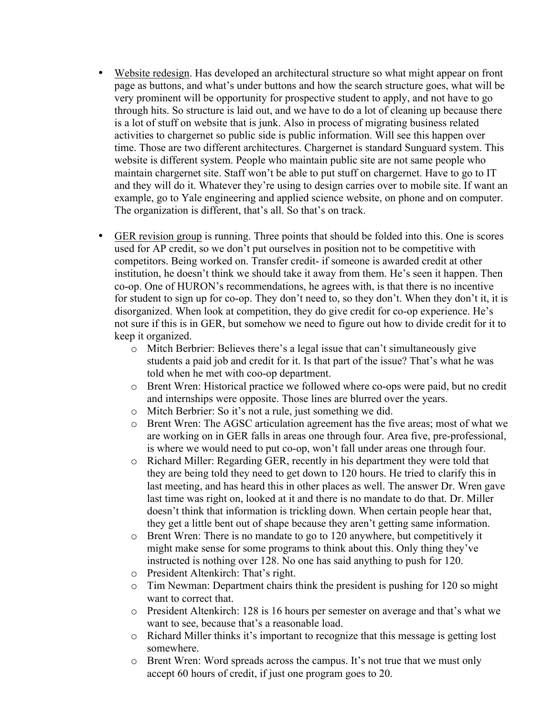- Website redesign. Has developed an architectural structure so what might appear on front page as buttons, and what's under buttons and how the search structure goes, what will be very prominent will be opportunity for prospective student to apply, and not have to go through hits. So structure is laid out, and we have to do a lot of cleaning up because there is a lot of stuff on website that is junk. Also in process of migrating business related activities to chargernet so public side is public information. Will see this happen over time. Those are two different architectures. Chargernet is standard Sunguard system. This website is different system. People who maintain public site are not same people who maintain chargernet site. Staff won't be able to put stuff on chargernet. Have to go to IT and they will do it. Whatever they're using to design carries over to mobile site. If want an example, go to Yale engineering and applied science website, on phone and on computer. The organization is different, that's all. So that's on track.
- GER revision group is running. Three points that should be folded into this. One is scores used for AP credit, so we don't put ourselves in position not to be competitive with competitors. Being worked on. Transfer credit- if someone is awarded credit at other institution, he doesn't think we should take it away from them. He's seen it happen. Then co-op. One of HURON's recommendations, he agrees with, is that there is no incentive for student to sign up for co-op. They don't need to, so they don't. When they don't it, it is disorganized. When look at competition, they do give credit for co-op experience. He's not sure if this is in GER, but somehow we need to figure out how to divide credit for it to keep it organized.
	- o Mitch Berbrier: Believes there's a legal issue that can't simultaneously give students a paid job and credit for it. Is that part of the issue? That's what he was told when he met with coo-op department.
	- o Brent Wren: Historical practice we followed where co-ops were paid, but no credit and internships were opposite. Those lines are blurred over the years.
	- o Mitch Berbrier: So it's not a rule, just something we did.
	- o Brent Wren: The AGSC articulation agreement has the five areas; most of what we are working on in GER falls in areas one through four. Area five, pre-professional, is where we would need to put co-op, won't fall under areas one through four.
	- o Richard Miller: Regarding GER, recently in his department they were told that they are being told they need to get down to 120 hours. He tried to clarify this in last meeting, and has heard this in other places as well. The answer Dr. Wren gave last time was right on, looked at it and there is no mandate to do that. Dr. Miller doesn't think that information is trickling down. When certain people hear that, they get a little bent out of shape because they aren't getting same information.
	- o Brent Wren: There is no mandate to go to 120 anywhere, but competitively it might make sense for some programs to think about this. Only thing they've instructed is nothing over 128. No one has said anything to push for 120.
	- o President Altenkirch: That's right.
	- o Tim Newman: Department chairs think the president is pushing for 120 so might want to correct that.
	- o President Altenkirch: 128 is 16 hours per semester on average and that's what we want to see, because that's a reasonable load.
	- o Richard Miller thinks it's important to recognize that this message is getting lost somewhere.
	- o Brent Wren: Word spreads across the campus. It's not true that we must only accept 60 hours of credit, if just one program goes to 20.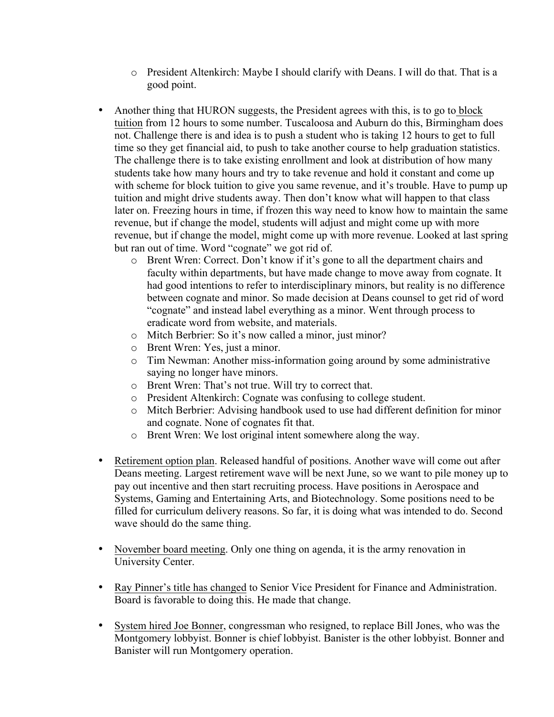- o President Altenkirch: Maybe I should clarify with Deans. I will do that. That is a good point.
- Another thing that HURON suggests, the President agrees with this, is to go to block tuition from 12 hours to some number. Tuscaloosa and Auburn do this, Birmingham does not. Challenge there is and idea is to push a student who is taking 12 hours to get to full time so they get financial aid, to push to take another course to help graduation statistics. The challenge there is to take existing enrollment and look at distribution of how many students take how many hours and try to take revenue and hold it constant and come up with scheme for block tuition to give you same revenue, and it's trouble. Have to pump up tuition and might drive students away. Then don't know what will happen to that class later on. Freezing hours in time, if frozen this way need to know how to maintain the same revenue, but if change the model, students will adjust and might come up with more revenue, but if change the model, might come up with more revenue. Looked at last spring but ran out of time. Word "cognate" we got rid of.
	- o Brent Wren: Correct. Don't know if it's gone to all the department chairs and faculty within departments, but have made change to move away from cognate. It had good intentions to refer to interdisciplinary minors, but reality is no difference between cognate and minor. So made decision at Deans counsel to get rid of word "cognate" and instead label everything as a minor. Went through process to eradicate word from website, and materials.
	- o Mitch Berbrier: So it's now called a minor, just minor?
	- o Brent Wren: Yes, just a minor.
	- o Tim Newman: Another miss-information going around by some administrative saying no longer have minors.
	- o Brent Wren: That's not true. Will try to correct that.
	- o President Altenkirch: Cognate was confusing to college student.
	- o Mitch Berbrier: Advising handbook used to use had different definition for minor and cognate. None of cognates fit that.
	- o Brent Wren: We lost original intent somewhere along the way.
- Retirement option plan. Released handful of positions. Another wave will come out after Deans meeting. Largest retirement wave will be next June, so we want to pile money up to pay out incentive and then start recruiting process. Have positions in Aerospace and Systems, Gaming and Entertaining Arts, and Biotechnology. Some positions need to be filled for curriculum delivery reasons. So far, it is doing what was intended to do. Second wave should do the same thing.
- November board meeting. Only one thing on agenda, it is the army renovation in University Center.
- Ray Pinner's title has changed to Senior Vice President for Finance and Administration. Board is favorable to doing this. He made that change.
- System hired Joe Bonner, congressman who resigned, to replace Bill Jones, who was the Montgomery lobbyist. Bonner is chief lobbyist. Banister is the other lobbyist. Bonner and Banister will run Montgomery operation.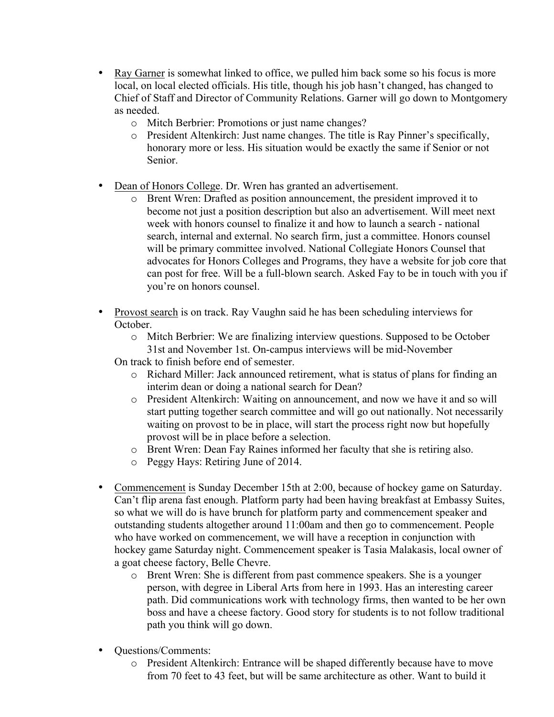- Ray Garner is somewhat linked to office, we pulled him back some so his focus is more local, on local elected officials. His title, though his job hasn't changed, has changed to Chief of Staff and Director of Community Relations. Garner will go down to Montgomery as needed.
	- o Mitch Berbrier: Promotions or just name changes?
	- o President Altenkirch: Just name changes. The title is Ray Pinner's specifically, honorary more or less. His situation would be exactly the same if Senior or not Senior.
- Dean of Honors College. Dr. Wren has granted an advertisement.
	- o Brent Wren: Drafted as position announcement, the president improved it to become not just a position description but also an advertisement. Will meet next week with honors counsel to finalize it and how to launch a search - national search, internal and external. No search firm, just a committee. Honors counsel will be primary committee involved. National Collegiate Honors Counsel that advocates for Honors Colleges and Programs, they have a website for job core that can post for free. Will be a full-blown search. Asked Fay to be in touch with you if you're on honors counsel.
- Provost search is on track. Ray Vaughn said he has been scheduling interviews for October.
	- o Mitch Berbrier: We are finalizing interview questions. Supposed to be October 31st and November 1st. On-campus interviews will be mid-November
	- On track to finish before end of semester.
		- o Richard Miller: Jack announced retirement, what is status of plans for finding an interim dean or doing a national search for Dean?
		- o President Altenkirch: Waiting on announcement, and now we have it and so will start putting together search committee and will go out nationally. Not necessarily waiting on provost to be in place, will start the process right now but hopefully provost will be in place before a selection.
		- o Brent Wren: Dean Fay Raines informed her faculty that she is retiring also.
		- o Peggy Hays: Retiring June of 2014.
- Commencement is Sunday December 15th at 2:00, because of hockey game on Saturday. Can't flip arena fast enough. Platform party had been having breakfast at Embassy Suites, so what we will do is have brunch for platform party and commencement speaker and outstanding students altogether around 11:00am and then go to commencement. People who have worked on commencement, we will have a reception in conjunction with hockey game Saturday night. Commencement speaker is Tasia Malakasis, local owner of a goat cheese factory, Belle Chevre.
	- o Brent Wren: She is different from past commence speakers. She is a younger person, with degree in Liberal Arts from here in 1993. Has an interesting career path. Did communications work with technology firms, then wanted to be her own boss and have a cheese factory. Good story for students is to not follow traditional path you think will go down.
- Questions/Comments:
	- o President Altenkirch: Entrance will be shaped differently because have to move from 70 feet to 43 feet, but will be same architecture as other. Want to build it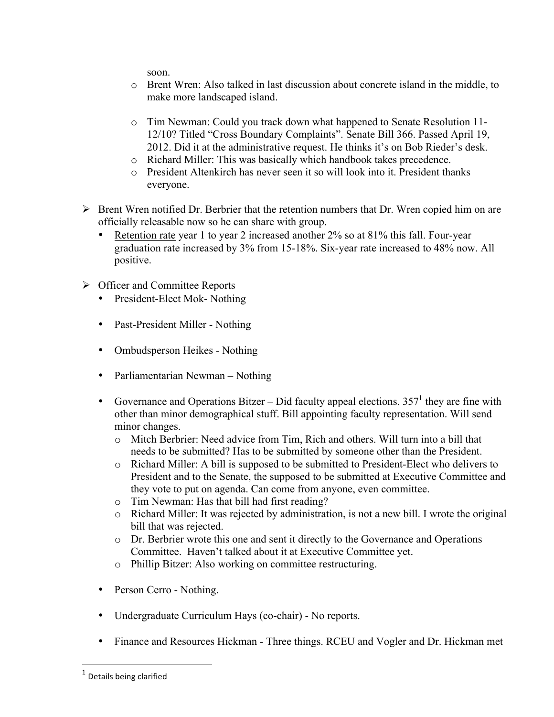soon.

- o Brent Wren: Also talked in last discussion about concrete island in the middle, to make more landscaped island.
- o Tim Newman: Could you track down what happened to Senate Resolution 11- 12/10? Titled "Cross Boundary Complaints". Senate Bill 366. Passed April 19, 2012. Did it at the administrative request. He thinks it's on Bob Rieder's desk.
- o Richard Miller: This was basically which handbook takes precedence.
- o President Altenkirch has never seen it so will look into it. President thanks everyone.
- $\triangleright$  Brent Wren notified Dr. Berbrier that the retention numbers that Dr. Wren copied him on are officially releasable now so he can share with group.
	- Retention rate year 1 to year 2 increased another 2% so at 81% this fall. Four-year graduation rate increased by 3% from 15-18%. Six-year rate increased to 48% now. All positive.
- $\triangleright$  Officer and Committee Reports
	- President-Elect Mok- Nothing
	- Past-President Miller Nothing
	- Ombudsperson Heikes Nothing
	- Parliamentarian Newman Nothing
	- Governance and Operations Bitzer Did faculty appeal elections.  $357<sup>1</sup>$  they are fine with other than minor demographical stuff. Bill appointing faculty representation. Will send minor changes.
		- o Mitch Berbrier: Need advice from Tim, Rich and others. Will turn into a bill that needs to be submitted? Has to be submitted by someone other than the President.
		- o Richard Miller: A bill is supposed to be submitted to President-Elect who delivers to President and to the Senate, the supposed to be submitted at Executive Committee and they vote to put on agenda. Can come from anyone, even committee.
		- o Tim Newman: Has that bill had first reading?
		- o Richard Miller: It was rejected by administration, is not a new bill. I wrote the original bill that was rejected.
		- o Dr. Berbrier wrote this one and sent it directly to the Governance and Operations Committee. Haven't talked about it at Executive Committee yet.
		- o Phillip Bitzer: Also working on committee restructuring.
	- Person Cerro Nothing.
	- Undergraduate Curriculum Hays (co-chair) No reports.
	- Finance and Resources Hickman Three things. RCEU and Vogler and Dr. Hickman met

 

 $1$  Details being clarified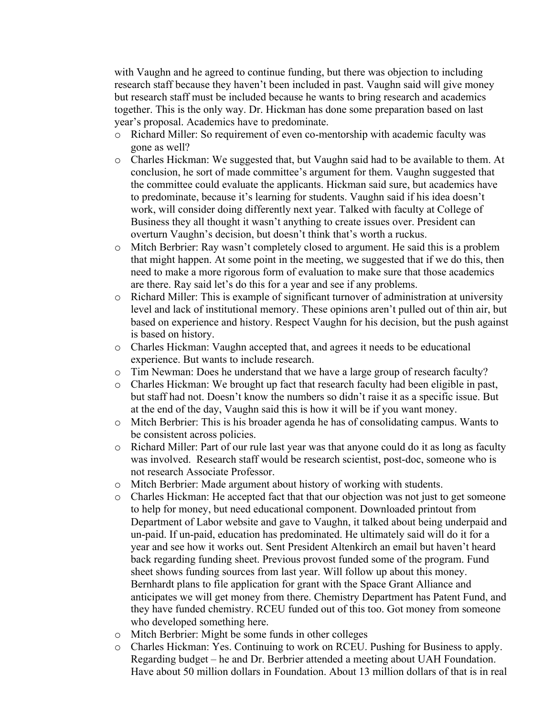with Vaughn and he agreed to continue funding, but there was objection to including research staff because they haven't been included in past. Vaughn said will give money but research staff must be included because he wants to bring research and academics together. This is the only way. Dr. Hickman has done some preparation based on last year's proposal. Academics have to predominate.

- o Richard Miller: So requirement of even co-mentorship with academic faculty was gone as well?
- o Charles Hickman: We suggested that, but Vaughn said had to be available to them. At conclusion, he sort of made committee's argument for them. Vaughn suggested that the committee could evaluate the applicants. Hickman said sure, but academics have to predominate, because it's learning for students. Vaughn said if his idea doesn't work, will consider doing differently next year. Talked with faculty at College of Business they all thought it wasn't anything to create issues over. President can overturn Vaughn's decision, but doesn't think that's worth a ruckus.
- o Mitch Berbrier: Ray wasn't completely closed to argument. He said this is a problem that might happen. At some point in the meeting, we suggested that if we do this, then need to make a more rigorous form of evaluation to make sure that those academics are there. Ray said let's do this for a year and see if any problems.
- o Richard Miller: This is example of significant turnover of administration at university level and lack of institutional memory. These opinions aren't pulled out of thin air, but based on experience and history. Respect Vaughn for his decision, but the push against is based on history.
- o Charles Hickman: Vaughn accepted that, and agrees it needs to be educational experience. But wants to include research.
- o Tim Newman: Does he understand that we have a large group of research faculty?
- o Charles Hickman: We brought up fact that research faculty had been eligible in past, but staff had not. Doesn't know the numbers so didn't raise it as a specific issue. But at the end of the day, Vaughn said this is how it will be if you want money.
- o Mitch Berbrier: This is his broader agenda he has of consolidating campus. Wants to be consistent across policies.
- o Richard Miller: Part of our rule last year was that anyone could do it as long as faculty was involved. Research staff would be research scientist, post-doc, someone who is not research Associate Professor.
- o Mitch Berbrier: Made argument about history of working with students.
- o Charles Hickman: He accepted fact that that our objection was not just to get someone to help for money, but need educational component. Downloaded printout from Department of Labor website and gave to Vaughn, it talked about being underpaid and un-paid. If un-paid, education has predominated. He ultimately said will do it for a year and see how it works out. Sent President Altenkirch an email but haven't heard back regarding funding sheet. Previous provost funded some of the program. Fund sheet shows funding sources from last year. Will follow up about this money. Bernhardt plans to file application for grant with the Space Grant Alliance and anticipates we will get money from there. Chemistry Department has Patent Fund, and they have funded chemistry. RCEU funded out of this too. Got money from someone who developed something here.
- o Mitch Berbrier: Might be some funds in other colleges
- o Charles Hickman: Yes. Continuing to work on RCEU. Pushing for Business to apply. Regarding budget – he and Dr. Berbrier attended a meeting about UAH Foundation. Have about 50 million dollars in Foundation. About 13 million dollars of that is in real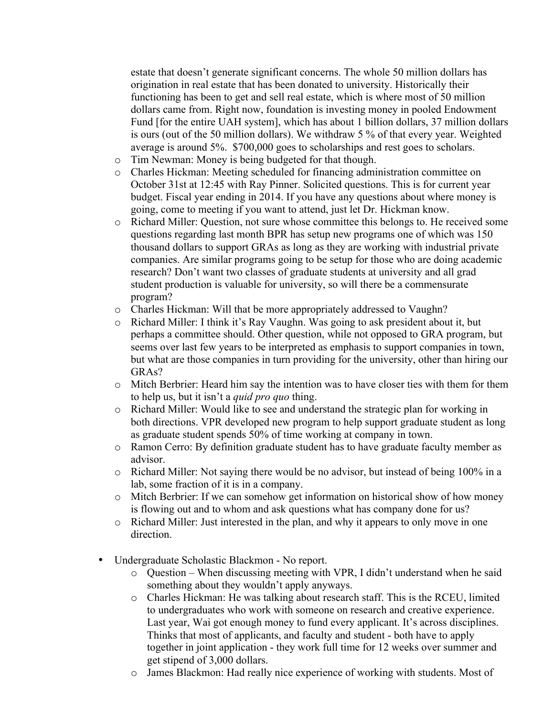estate that doesn't generate significant concerns. The whole 50 million dollars has origination in real estate that has been donated to university. Historically their functioning has been to get and sell real estate, which is where most of 50 million dollars came from. Right now, foundation is investing money in pooled Endowment Fund [for the entire UAH system], which has about 1 billion dollars, 37 million dollars is ours (out of the 50 million dollars). We withdraw 5 % of that every year. Weighted average is around 5%. \$700,000 goes to scholarships and rest goes to scholars.

- o Tim Newman: Money is being budgeted for that though.
- o Charles Hickman: Meeting scheduled for financing administration committee on October 31st at 12:45 with Ray Pinner. Solicited questions. This is for current year budget. Fiscal year ending in 2014. If you have any questions about where money is going, come to meeting if you want to attend, just let Dr. Hickman know.
- o Richard Miller: Question, not sure whose committee this belongs to. He received some questions regarding last month BPR has setup new programs one of which was 150 thousand dollars to support GRAs as long as they are working with industrial private companies. Are similar programs going to be setup for those who are doing academic research? Don't want two classes of graduate students at university and all grad student production is valuable for university, so will there be a commensurate program?
- o Charles Hickman: Will that be more appropriately addressed to Vaughn?
- o Richard Miller: I think it's Ray Vaughn. Was going to ask president about it, but perhaps a committee should. Other question, while not opposed to GRA program, but seems over last few years to be interpreted as emphasis to support companies in town, but what are those companies in turn providing for the university, other than hiring our GRAs?
- o Mitch Berbrier: Heard him say the intention was to have closer ties with them for them to help us, but it isn't a *quid pro quo* thing.
- o Richard Miller: Would like to see and understand the strategic plan for working in both directions. VPR developed new program to help support graduate student as long as graduate student spends 50% of time working at company in town.
- o Ramon Cerro: By definition graduate student has to have graduate faculty member as advisor.
- o Richard Miller: Not saying there would be no advisor, but instead of being 100% in a lab, some fraction of it is in a company.
- o Mitch Berbrier: If we can somehow get information on historical show of how money is flowing out and to whom and ask questions what has company done for us?
- o Richard Miller: Just interested in the plan, and why it appears to only move in one direction.
- Undergraduate Scholastic Blackmon No report.
	- o Question When discussing meeting with VPR, I didn't understand when he said something about they wouldn't apply anyways.
	- o Charles Hickman: He was talking about research staff. This is the RCEU, limited to undergraduates who work with someone on research and creative experience. Last year, Wai got enough money to fund every applicant. It's across disciplines. Thinks that most of applicants, and faculty and student - both have to apply together in joint application - they work full time for 12 weeks over summer and get stipend of 3,000 dollars.
	- o James Blackmon: Had really nice experience of working with students. Most of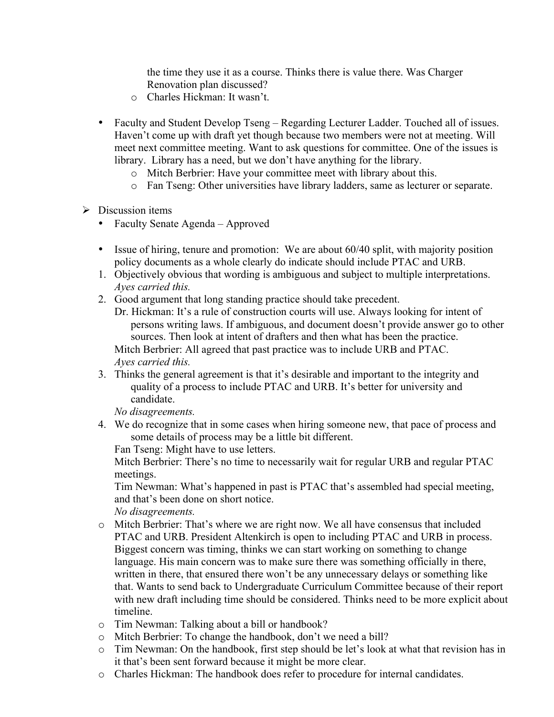the time they use it as a course. Thinks there is value there. Was Charger Renovation plan discussed?

- o Charles Hickman: It wasn't.
- Faculty and Student Develop Tseng Regarding Lecturer Ladder. Touched all of issues. Haven't come up with draft yet though because two members were not at meeting. Will meet next committee meeting. Want to ask questions for committee. One of the issues is library. Library has a need, but we don't have anything for the library.
	- o Mitch Berbrier: Have your committee meet with library about this.
	- o Fan Tseng: Other universities have library ladders, same as lecturer or separate.
- $\triangleright$  Discussion items
	- Faculty Senate Agenda Approved
	- Issue of hiring, tenure and promotion: We are about 60/40 split, with majority position policy documents as a whole clearly do indicate should include PTAC and URB.
	- 1. Objectively obvious that wording is ambiguous and subject to multiple interpretations. *Ayes carried this.*
	- 2. Good argument that long standing practice should take precedent.
		- Dr. Hickman: It's a rule of construction courts will use. Always looking for intent of persons writing laws. If ambiguous, and document doesn't provide answer go to other sources. Then look at intent of drafters and then what has been the practice. Mitch Berbrier: All agreed that past practice was to include URB and PTAC. *Ayes carried this.*
	- 3. Thinks the general agreement is that it's desirable and important to the integrity and quality of a process to include PTAC and URB. It's better for university and candidate.

*No disagreements.*

4. We do recognize that in some cases when hiring someone new, that pace of process and some details of process may be a little bit different.

Fan Tseng: Might have to use letters.

Mitch Berbrier: There's no time to necessarily wait for regular URB and regular PTAC meetings.

Tim Newman: What's happened in past is PTAC that's assembled had special meeting, and that's been done on short notice.

*No disagreements.*

- o Mitch Berbrier: That's where we are right now. We all have consensus that included PTAC and URB. President Altenkirch is open to including PTAC and URB in process. Biggest concern was timing, thinks we can start working on something to change language. His main concern was to make sure there was something officially in there, written in there, that ensured there won't be any unnecessary delays or something like that. Wants to send back to Undergraduate Curriculum Committee because of their report with new draft including time should be considered. Thinks need to be more explicit about timeline.
- o Tim Newman: Talking about a bill or handbook?
- o Mitch Berbrier: To change the handbook, don't we need a bill?
- o Tim Newman: On the handbook, first step should be let's look at what that revision has in it that's been sent forward because it might be more clear.
- o Charles Hickman: The handbook does refer to procedure for internal candidates.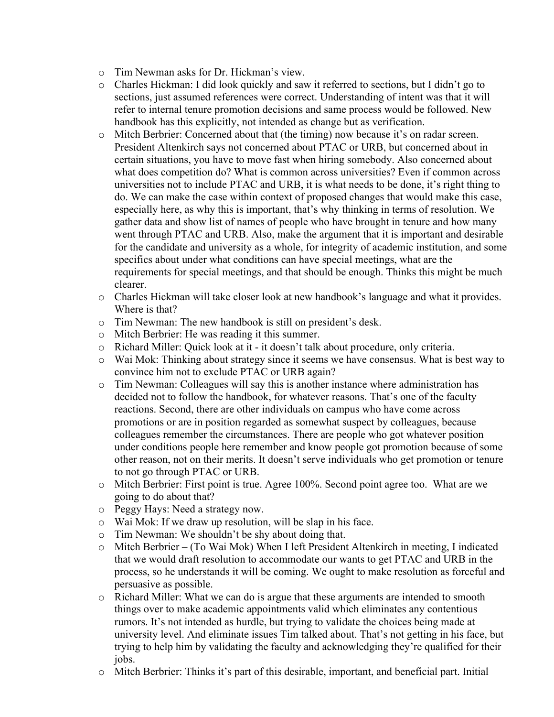- o Tim Newman asks for Dr. Hickman's view.
- o Charles Hickman: I did look quickly and saw it referred to sections, but I didn't go to sections, just assumed references were correct. Understanding of intent was that it will refer to internal tenure promotion decisions and same process would be followed. New handbook has this explicitly, not intended as change but as verification.
- o Mitch Berbrier: Concerned about that (the timing) now because it's on radar screen. President Altenkirch says not concerned about PTAC or URB, but concerned about in certain situations, you have to move fast when hiring somebody. Also concerned about what does competition do? What is common across universities? Even if common across universities not to include PTAC and URB, it is what needs to be done, it's right thing to do. We can make the case within context of proposed changes that would make this case, especially here, as why this is important, that's why thinking in terms of resolution. We gather data and show list of names of people who have brought in tenure and how many went through PTAC and URB. Also, make the argument that it is important and desirable for the candidate and university as a whole, for integrity of academic institution, and some specifics about under what conditions can have special meetings, what are the requirements for special meetings, and that should be enough. Thinks this might be much clearer.
- o Charles Hickman will take closer look at new handbook's language and what it provides. Where is that?
- o Tim Newman: The new handbook is still on president's desk.
- o Mitch Berbrier: He was reading it this summer.
- o Richard Miller: Quick look at it it doesn't talk about procedure, only criteria.
- o Wai Mok: Thinking about strategy since it seems we have consensus. What is best way to convince him not to exclude PTAC or URB again?
- o Tim Newman: Colleagues will say this is another instance where administration has decided not to follow the handbook, for whatever reasons. That's one of the faculty reactions. Second, there are other individuals on campus who have come across promotions or are in position regarded as somewhat suspect by colleagues, because colleagues remember the circumstances. There are people who got whatever position under conditions people here remember and know people got promotion because of some other reason, not on their merits. It doesn't serve individuals who get promotion or tenure to not go through PTAC or URB.
- o Mitch Berbrier: First point is true. Agree 100%. Second point agree too. What are we going to do about that?
- o Peggy Hays: Need a strategy now.
- o Wai Mok: If we draw up resolution, will be slap in his face.
- o Tim Newman: We shouldn't be shy about doing that.
- o Mitch Berbrier (To Wai Mok) When I left President Altenkirch in meeting, I indicated that we would draft resolution to accommodate our wants to get PTAC and URB in the process, so he understands it will be coming. We ought to make resolution as forceful and persuasive as possible.
- o Richard Miller: What we can do is argue that these arguments are intended to smooth things over to make academic appointments valid which eliminates any contentious rumors. It's not intended as hurdle, but trying to validate the choices being made at university level. And eliminate issues Tim talked about. That's not getting in his face, but trying to help him by validating the faculty and acknowledging they're qualified for their jobs.
- o Mitch Berbrier: Thinks it's part of this desirable, important, and beneficial part. Initial